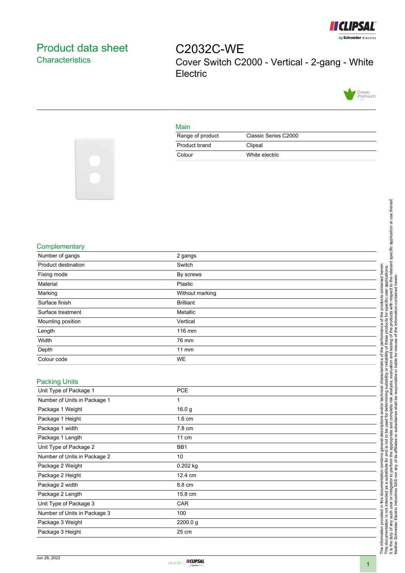

## <span id="page-0-0"></span>Product data sheet **Characteristics**

C2032C-WE Cover Switch C2000 - Vertical - 2-gang - White **Electric** 



## Main

| Range of product | Classic Series C2000 |
|------------------|----------------------|
| Product brand    | Clipsal              |
| Colour           | White electric       |



## **Complementary**

| Number of gangs              | 2 gangs           |  |
|------------------------------|-------------------|--|
| Product destination          | Switch            |  |
| Fixing mode                  | By screws         |  |
| Material                     | Plastic           |  |
| Marking                      | Without marking   |  |
| Surface finish               | <b>Brilliant</b>  |  |
| Surface treatment            | Metallic          |  |
| Mounting position            | Vertical          |  |
| Length                       | 116 mm            |  |
| Width                        | 76 mm             |  |
| Depth                        | $11$ mm           |  |
| Colour code                  | WE                |  |
|                              |                   |  |
| <b>Packing Units</b>         |                   |  |
| Unit Type of Package 1       | PCE               |  |
| Number of Units in Package 1 | 1                 |  |
| Package 1 Weight             | 16.0 <sub>g</sub> |  |
| Package 1 Height             | 1.6 cm            |  |
| Package 1 width              | 7.8 cm            |  |
| Package 1 Length             | 11 cm             |  |
| Unit Type of Package 2       | B <sub>B1</sub>   |  |

| Package 1 Length             | 11 cm           |
|------------------------------|-----------------|
| Unit Type of Package 2       | BB <sub>1</sub> |
| Number of Units in Package 2 | 10              |
| Package 2 Weight             | $0.202$ kg      |
| Package 2 Height             | 12.4 cm         |
| Package 2 width              | 8.8 cm          |
| Package 2 Length             | 15.8 cm         |
| Unit Type of Package 3       | <b>CAR</b>      |
| Number of Units in Package 3 | 100             |
| Package 3 Weight             | 2200.0 g        |
| Package 3 Height             | 25 cm           |